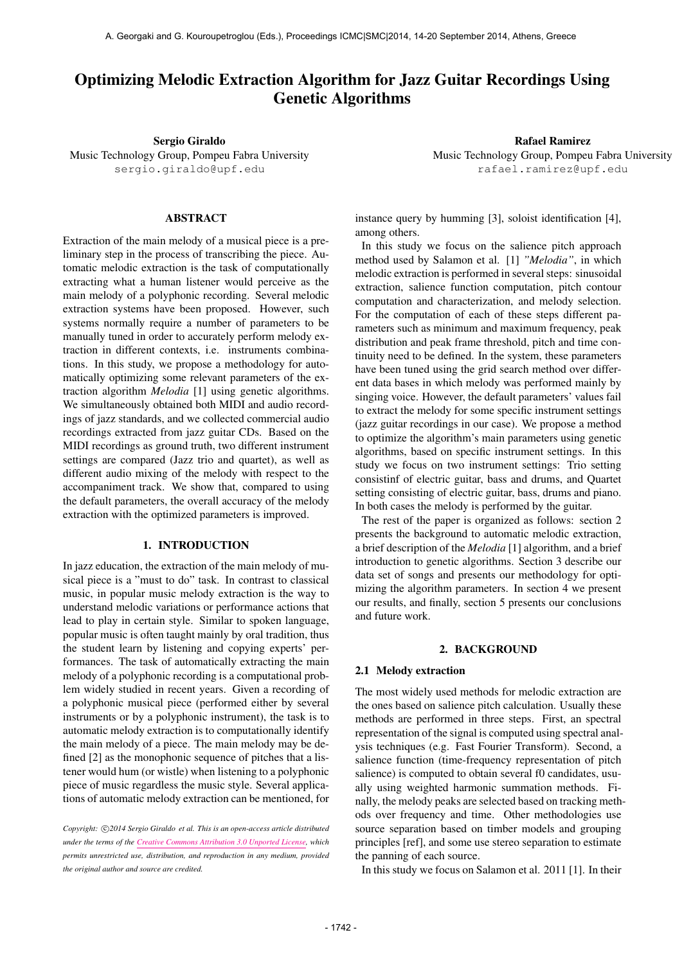# Optimizing Melodic Extraction Algorithm for Jazz Guitar Recordings Using Genetic Algorithms

Sergio Giraldo Music Technology Group, Pompeu Fabra University [sergio.giraldo@upf.edu](mailto:sergio.giraldo@upf.edu)

Rafael Ramirez Music Technology Group, Pompeu Fabra University [rafael.ramirez@upf.edu](mailto:rafael.ramirez@upf.edu)

# ABSTRACT

Extraction of the main melody of a musical piece is a preliminary step in the process of transcribing the piece. Automatic melodic extraction is the task of computationally extracting what a human listener would perceive as the main melody of a polyphonic recording. Several melodic extraction systems have been proposed. However, such systems normally require a number of parameters to be manually tuned in order to accurately perform melody extraction in different contexts, i.e. instruments combinations. In this study, we propose a methodology for automatically optimizing some relevant parameters of the extraction algorithm *Melodia* [1] using genetic algorithms. We simultaneously obtained both MIDI and audio recordings of jazz standards, and we collected commercial audio recordings extracted from jazz guitar CDs. Based on the MIDI recordings as ground truth, two different instrument settings are compared (Jazz trio and quartet), as well as different audio mixing of the melody with respect to the accompaniment track. We show that, compared to using the default parameters, the overall accuracy of the melody extraction with the optimized parameters is improved.

# 1. INTRODUCTION

In jazz education, the extraction of the main melody of musical piece is a "must to do" task. In contrast to classical music, in popular music melody extraction is the way to understand melodic variations or performance actions that lead to play in certain style. Similar to spoken language, popular music is often taught mainly by oral tradition, thus the student learn by listening and copying experts' performances. The task of automatically extracting the main melody of a polyphonic recording is a computational problem widely studied in recent years. Given a recording of a polyphonic musical piece (performed either by several instruments or by a polyphonic instrument), the task is to automatic melody extraction is to computationally identify the main melody of a piece. The main melody may be defined [2] as the monophonic sequence of pitches that a listener would hum (or wistle) when listening to a polyphonic piece of music regardless the music style. Several applications of automatic melody extraction can be mentioned, for

Copyright:  $\bigcirc$ 2014 Sergio Giraldo et al. This is an open-access article distributed *under the terms of the [Creative Commons Attribution 3.0 Unported License,](http://creativecommons.org/licenses/by/3.0/) which permits unrestricted use, distribution, and reproduction in any medium, provided the original author and source are credited.*

instance query by humming [3], soloist identification [4], among others.

In this study we focus on the salience pitch approach method used by Salamon et al. [1] *"Melodia"*, in which melodic extraction is performed in several steps: sinusoidal extraction, salience function computation, pitch contour computation and characterization, and melody selection. For the computation of each of these steps different parameters such as minimum and maximum frequency, peak distribution and peak frame threshold, pitch and time continuity need to be defined. In the system, these parameters have been tuned using the grid search method over different data bases in which melody was performed mainly by singing voice. However, the default parameters' values fail to extract the melody for some specific instrument settings (jazz guitar recordings in our case). We propose a method to optimize the algorithm's main parameters using genetic algorithms, based on specific instrument settings. In this study we focus on two instrument settings: Trio setting consistinf of electric guitar, bass and drums, and Quartet setting consisting of electric guitar, bass, drums and piano. In both cases the melody is performed by the guitar.

The rest of the paper is organized as follows: section 2 presents the background to automatic melodic extraction, a brief description of the *Melodia* [1] algorithm, and a brief introduction to genetic algorithms. Section 3 describe our data set of songs and presents our methodology for optimizing the algorithm parameters. In section 4 we present our results, and finally, section 5 presents our conclusions and future work.

#### 2. BACKGROUND

#### 2.1 Melody extraction

The most widely used methods for melodic extraction are the ones based on salience pitch calculation. Usually these methods are performed in three steps. First, an spectral representation of the signal is computed using spectral analysis techniques (e.g. Fast Fourier Transform). Second, a salience function (time-frequency representation of pitch salience) is computed to obtain several f0 candidates, usually using weighted harmonic summation methods. Finally, the melody peaks are selected based on tracking methods over frequency and time. Other methodologies use source separation based on timber models and grouping principles [ref], and some use stereo separation to estimate the panning of each source.

In this study we focus on Salamon et al. 2011 [1]. In their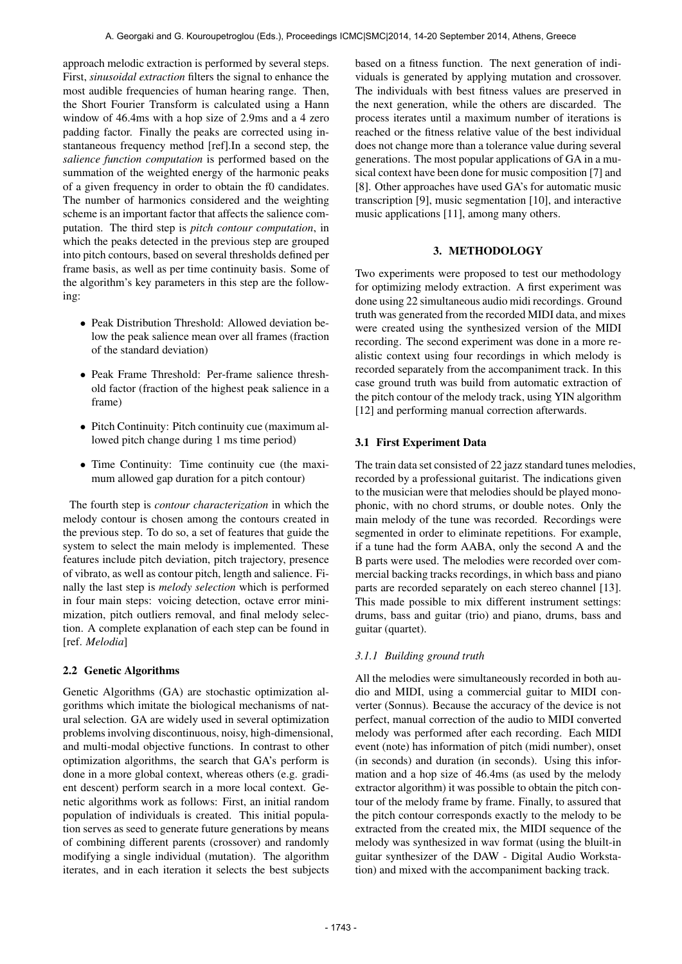approach melodic extraction is performed by several steps. First, *sinusoidal extraction* filters the signal to enhance the most audible frequencies of human hearing range. Then, the Short Fourier Transform is calculated using a Hann window of 46.4ms with a hop size of 2.9ms and a 4 zero padding factor. Finally the peaks are corrected using instantaneous frequency method [ref].In a second step, the *salience function computation* is performed based on the summation of the weighted energy of the harmonic peaks of a given frequency in order to obtain the f0 candidates. The number of harmonics considered and the weighting scheme is an important factor that affects the salience computation. The third step is *pitch contour computation*, in which the peaks detected in the previous step are grouped into pitch contours, based on several thresholds defined per frame basis, as well as per time continuity basis. Some of the algorithm's key parameters in this step are the following:

- Peak Distribution Threshold: Allowed deviation below the peak salience mean over all frames (fraction of the standard deviation)
- Peak Frame Threshold: Per-frame salience threshold factor (fraction of the highest peak salience in a frame)
- Pitch Continuity: Pitch continuity cue (maximum allowed pitch change during 1 ms time period)
- Time Continuity: Time continuity cue (the maximum allowed gap duration for a pitch contour)

The fourth step is *contour characterization* in which the melody contour is chosen among the contours created in the previous step. To do so, a set of features that guide the system to select the main melody is implemented. These features include pitch deviation, pitch trajectory, presence of vibrato, as well as contour pitch, length and salience. Finally the last step is *melody selection* which is performed in four main steps: voicing detection, octave error minimization, pitch outliers removal, and final melody selection. A complete explanation of each step can be found in [ref. *Melodia*]

# 2.2 Genetic Algorithms

Genetic Algorithms (GA) are stochastic optimization algorithms which imitate the biological mechanisms of natural selection. GA are widely used in several optimization problems involving discontinuous, noisy, high-dimensional, and multi-modal objective functions. In contrast to other optimization algorithms, the search that GA's perform is done in a more global context, whereas others (e.g. gradient descent) perform search in a more local context. Genetic algorithms work as follows: First, an initial random population of individuals is created. This initial population serves as seed to generate future generations by means of combining different parents (crossover) and randomly modifying a single individual (mutation). The algorithm iterates, and in each iteration it selects the best subjects

based on a fitness function. The next generation of individuals is generated by applying mutation and crossover. The individuals with best fitness values are preserved in the next generation, while the others are discarded. The process iterates until a maximum number of iterations is reached or the fitness relative value of the best individual does not change more than a tolerance value during several generations. The most popular applications of GA in a musical context have been done for music composition [7] and [8]. Other approaches have used GA's for automatic music transcription [9], music segmentation [10], and interactive music applications [11], among many others.

# 3. METHODOLOGY

Two experiments were proposed to test our methodology for optimizing melody extraction. A first experiment was done using 22 simultaneous audio midi recordings. Ground truth was generated from the recorded MIDI data, and mixes were created using the synthesized version of the MIDI recording. The second experiment was done in a more realistic context using four recordings in which melody is recorded separately from the accompaniment track. In this case ground truth was build from automatic extraction of the pitch contour of the melody track, using YIN algorithm [12] and performing manual correction afterwards.

# 3.1 First Experiment Data

The train data set consisted of 22 jazz standard tunes melodies, recorded by a professional guitarist. The indications given to the musician were that melodies should be played monophonic, with no chord strums, or double notes. Only the main melody of the tune was recorded. Recordings were segmented in order to eliminate repetitions. For example, if a tune had the form AABA, only the second A and the B parts were used. The melodies were recorded over commercial backing tracks recordings, in which bass and piano parts are recorded separately on each stereo channel [13]. This made possible to mix different instrument settings: drums, bass and guitar (trio) and piano, drums, bass and guitar (quartet).

# *3.1.1 Building ground truth*

All the melodies were simultaneously recorded in both audio and MIDI, using a commercial guitar to MIDI converter (Sonnus). Because the accuracy of the device is not perfect, manual correction of the audio to MIDI converted melody was performed after each recording. Each MIDI event (note) has information of pitch (midi number), onset (in seconds) and duration (in seconds). Using this information and a hop size of 46.4ms (as used by the melody extractor algorithm) it was possible to obtain the pitch contour of the melody frame by frame. Finally, to assured that the pitch contour corresponds exactly to the melody to be extracted from the created mix, the MIDI sequence of the melody was synthesized in wav format (using the bluilt-in guitar synthesizer of the DAW - Digital Audio Workstation) and mixed with the accompaniment backing track.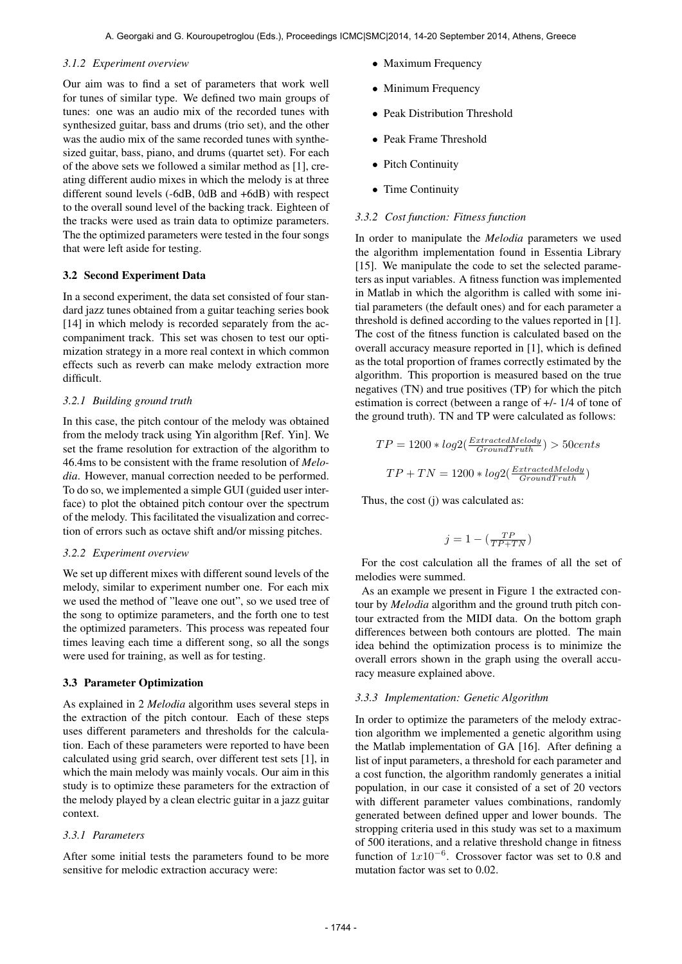#### *3.1.2 Experiment overview*

Our aim was to find a set of parameters that work well for tunes of similar type. We defined two main groups of tunes: one was an audio mix of the recorded tunes with synthesized guitar, bass and drums (trio set), and the other was the audio mix of the same recorded tunes with synthesized guitar, bass, piano, and drums (quartet set). For each of the above sets we followed a similar method as [1], creating different audio mixes in which the melody is at three different sound levels (-6dB, 0dB and +6dB) with respect to the overall sound level of the backing track. Eighteen of the tracks were used as train data to optimize parameters. The the optimized parameters were tested in the four songs that were left aside for testing.

#### 3.2 Second Experiment Data

In a second experiment, the data set consisted of four standard jazz tunes obtained from a guitar teaching series book [14] in which melody is recorded separately from the accompaniment track. This set was chosen to test our optimization strategy in a more real context in which common effects such as reverb can make melody extraction more difficult.

#### *3.2.1 Building ground truth*

In this case, the pitch contour of the melody was obtained from the melody track using Yin algorithm [Ref. Yin]. We set the frame resolution for extraction of the algorithm to 46.4ms to be consistent with the frame resolution of *Melodia*. However, manual correction needed to be performed. To do so, we implemented a simple GUI (guided user interface) to plot the obtained pitch contour over the spectrum of the melody. This facilitated the visualization and correction of errors such as octave shift and/or missing pitches.

#### *3.2.2 Experiment overview*

We set up different mixes with different sound levels of the melody, similar to experiment number one. For each mix we used the method of "leave one out", so we used tree of the song to optimize parameters, and the forth one to test the optimized parameters. This process was repeated four times leaving each time a different song, so all the songs were used for training, as well as for testing.

#### 3.3 Parameter Optimization

As explained in 2 *Melodia* algorithm uses several steps in the extraction of the pitch contour. Each of these steps uses different parameters and thresholds for the calculation. Each of these parameters were reported to have been calculated using grid search, over different test sets [1], in which the main melody was mainly vocals. Our aim in this study is to optimize these parameters for the extraction of the melody played by a clean electric guitar in a jazz guitar context.

#### *3.3.1 Parameters*

After some initial tests the parameters found to be more sensitive for melodic extraction accuracy were:

- Maximum Frequency
- Minimum Frequency
- Peak Distribution Threshold
- Peak Frame Threshold
- Pitch Continuity
- Time Continuity

#### *3.3.2 Cost function: Fitness function*

In order to manipulate the *Melodia* parameters we used the algorithm implementation found in Essentia Library [15]. We manipulate the code to set the selected parameters as input variables. A fitness function was implemented in Matlab in which the algorithm is called with some initial parameters (the default ones) and for each parameter a threshold is defined according to the values reported in [1]. The cost of the fitness function is calculated based on the overall accuracy measure reported in [1], which is defined as the total proportion of frames correctly estimated by the algorithm. This proportion is measured based on the true negatives (TN) and true positives (TP) for which the pitch estimation is correct (between a range of +/- 1/4 of tone of the ground truth). TN and TP were calculated as follows:

$$
TP = 1200 * log2(\frac{ExtractedMelody}{Ground Truth}) > 50 cents
$$

$$
TP + TN = 1200 * log2(\frac{ExtractedMelody}{Ground Truth})
$$

Thus, the cost (j) was calculated as:

$$
j=1-(\tfrac{TP}{TP+TN})
$$

For the cost calculation all the frames of all the set of melodies were summed.

As an example we present in Figure 1 the extracted contour by *Melodia* algorithm and the ground truth pitch contour extracted from the MIDI data. On the bottom graph differences between both contours are plotted. The main idea behind the optimization process is to minimize the overall errors shown in the graph using the overall accuracy measure explained above.

#### *3.3.3 Implementation: Genetic Algorithm*

In order to optimize the parameters of the melody extraction algorithm we implemented a genetic algorithm using the Matlab implementation of GA [16]. After defining a list of input parameters, a threshold for each parameter and a cost function, the algorithm randomly generates a initial population, in our case it consisted of a set of 20 vectors with different parameter values combinations, randomly generated between defined upper and lower bounds. The stropping criteria used in this study was set to a maximum of 500 iterations, and a relative threshold change in fitness function of  $1x10^{-6}$ . Crossover factor was set to 0.8 and mutation factor was set to 0.02.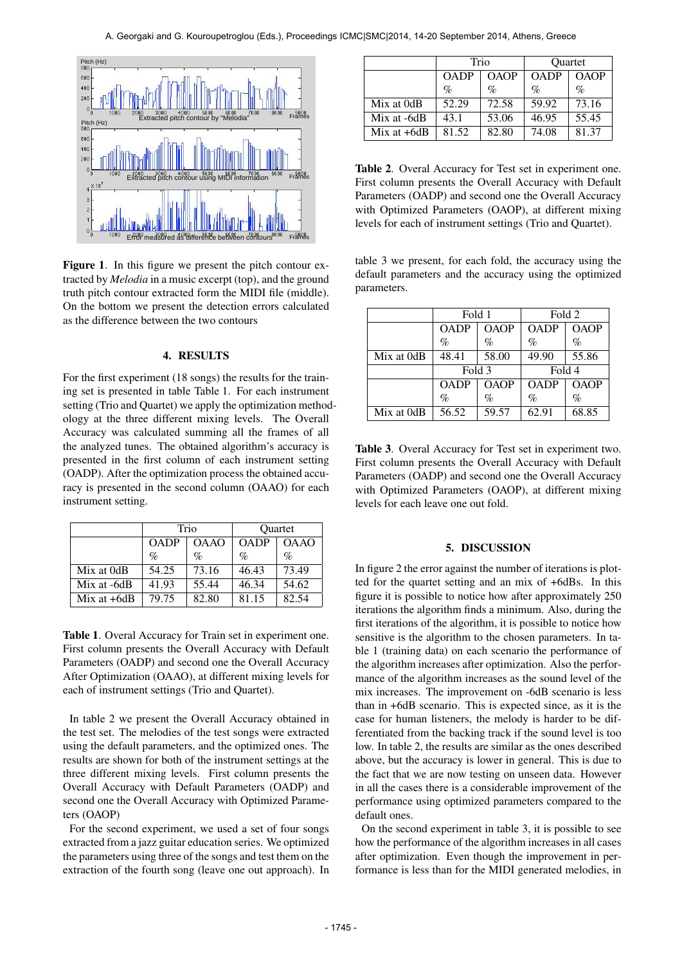

Figure 1. In this figure we present the pitch contour extracted by *Melodia* in a music excerpt (top), and the ground truth pitch contour extracted form the MIDI file (middle). On the bottom we present the detection errors calculated as the difference between the two contours

# 4. RESULTS

For the first experiment (18 songs) the results for the training set is presented in table Table 1. For each instrument setting (Trio and Quartet) we apply the optimization methodology at the three different mixing levels. The Overall Accuracy was calculated summing all the frames of all the analyzed tunes. The obtained algorithm's accuracy is presented in the first column of each instrument setting (OADP). After the optimization process the obtained accuracy is presented in the second column (OAAO) for each instrument setting.

|               | Trio        |             | <b>Ouartet</b> |             |
|---------------|-------------|-------------|----------------|-------------|
|               | <b>OADP</b> | <b>OAAO</b> | <b>OADP</b>    | <b>OAAO</b> |
|               | $\%$        | $\%$        | $\%$           | $\%$        |
| Mix at 0dB    | 54.25       | 73.16       | 46.43          | 73.49       |
| Mix at -6dB   | 41.93       | 55.44       | 46.34          | 54.62       |
| Mix at $+6dB$ | 79.75       | 82.80       | 81.15          | 82.54       |

Table 1. Overal Accuracy for Train set in experiment one. First column presents the Overall Accuracy with Default Parameters (OADP) and second one the Overall Accuracy After Optimization (OAAO), at different mixing levels for each of instrument settings (Trio and Quartet).

In table 2 we present the Overall Accuracy obtained in the test set. The melodies of the test songs were extracted using the default parameters, and the optimized ones. The results are shown for both of the instrument settings at the three different mixing levels. First column presents the Overall Accuracy with Default Parameters (OADP) and second one the Overall Accuracy with Optimized Parameters (OAOP)

For the second experiment, we used a set of four songs extracted from a jazz guitar education series. We optimized the parameters using three of the songs and test them on the extraction of the fourth song (leave one out approach). In

|               | Trio        |             | Quartet     |             |
|---------------|-------------|-------------|-------------|-------------|
|               | <b>OADP</b> | <b>OAOP</b> | <b>OADP</b> | <b>OAOP</b> |
|               | $\%$        | $\%$        | $\%$        | $\%$        |
| Mix at 0dB    | 52.29       | 72.58       | 59.92       | 73.16       |
| Mix at -6dB   | 43.1        | 53.06       | 46.95       | 55.45       |
| Mix at $+6dB$ | 81.52       | 82.80       | 74.08       | 81.37       |

Table 2. Overal Accuracy for Test set in experiment one. First column presents the Overall Accuracy with Default Parameters (OADP) and second one the Overall Accuracy with Optimized Parameters (OAOP), at different mixing levels for each of instrument settings (Trio and Quartet).

table 3 we present, for each fold, the accuracy using the default parameters and the accuracy using the optimized parameters.

|            | Fold 1      |             | Fold 2      |       |
|------------|-------------|-------------|-------------|-------|
|            | <b>OADP</b> | <b>OAOP</b> | <b>OADP</b> | OAOP  |
|            | $\%$        | $\%$        | %           | $\%$  |
| Mix at 0dB | 48.41       | 58.00       | 49.90       | 55.86 |
|            | Fold 3      |             | Fold 4      |       |
|            | <b>OADP</b> | <b>OAOP</b> | <b>OADP</b> | OAOP  |
|            | $\%$        | $\%$        | $\%$        | $\%$  |
| Mix at 0dB | 56.52       | 59.57       | 62.91       | 68.85 |

Table 3. Overal Accuracy for Test set in experiment two. First column presents the Overall Accuracy with Default Parameters (OADP) and second one the Overall Accuracy with Optimized Parameters (OAOP), at different mixing levels for each leave one out fold.

## 5. DISCUSSION

In figure 2 the error against the number of iterations is plotted for the quartet setting and an mix of +6dBs. In this figure it is possible to notice how after approximately 250 iterations the algorithm finds a minimum. Also, during the first iterations of the algorithm, it is possible to notice how sensitive is the algorithm to the chosen parameters. In table 1 (training data) on each scenario the performance of the algorithm increases after optimization. Also the performance of the algorithm increases as the sound level of the mix increases. The improvement on -6dB scenario is less than in +6dB scenario. This is expected since, as it is the case for human listeners, the melody is harder to be differentiated from the backing track if the sound level is too low. In table 2, the results are similar as the ones described above, but the accuracy is lower in general. This is due to the fact that we are now testing on unseen data. However in all the cases there is a considerable improvement of the performance using optimized parameters compared to the default ones.

On the second experiment in table 3, it is possible to see how the performance of the algorithm increases in all cases after optimization. Even though the improvement in performance is less than for the MIDI generated melodies, in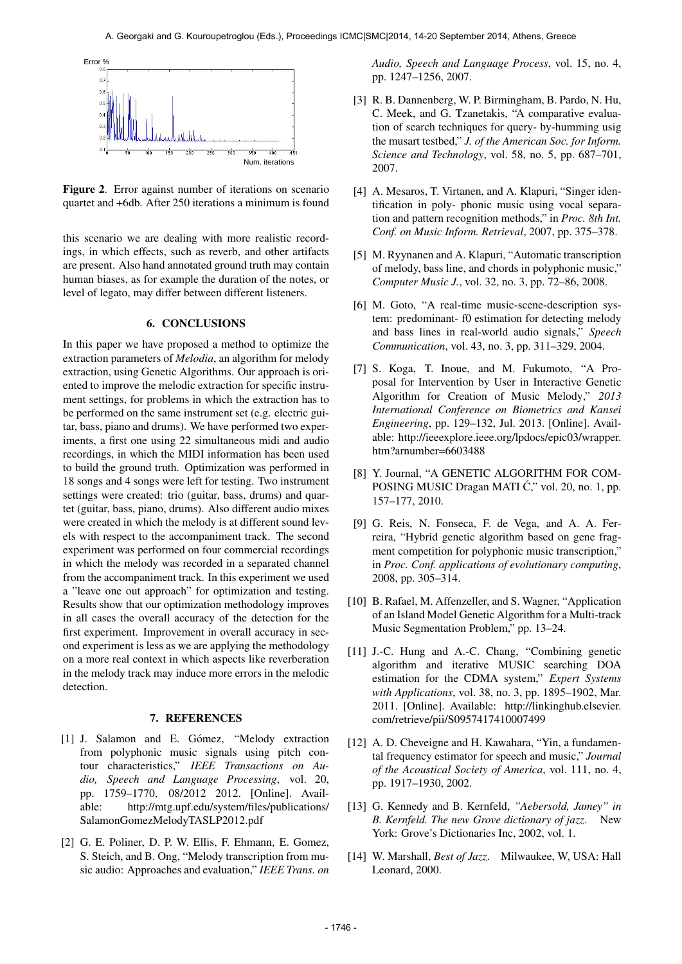

Figure 2. Error against number of iterations on scenario quartet and +6db. After 250 iterations a minimum is found

this scenario we are dealing with more realistic recordings, in which effects, such as reverb, and other artifacts are present. Also hand annotated ground truth may contain human biases, as for example the duration of the notes, or level of legato, may differ between different listeners.

### 6. CONCLUSIONS

In this paper we have proposed a method to optimize the extraction parameters of *Melodia*, an algorithm for melody extraction, using Genetic Algorithms. Our approach is oriented to improve the melodic extraction for specific instrument settings, for problems in which the extraction has to be performed on the same instrument set (e.g. electric guitar, bass, piano and drums). We have performed two experiments, a first one using 22 simultaneous midi and audio recordings, in which the MIDI information has been used to build the ground truth. Optimization was performed in 18 songs and 4 songs were left for testing. Two instrument settings were created: trio (guitar, bass, drums) and quartet (guitar, bass, piano, drums). Also different audio mixes were created in which the melody is at different sound levels with respect to the accompaniment track. The second experiment was performed on four commercial recordings in which the melody was recorded in a separated channel from the accompaniment track. In this experiment we used a "leave one out approach" for optimization and testing. Results show that our optimization methodology improves in all cases the overall accuracy of the detection for the first experiment. Improvement in overall accuracy in second experiment is less as we are applying the methodology on a more real context in which aspects like reverberation in the melody track may induce more errors in the melodic detection.

#### 7. REFERENCES

- [1] J. Salamon and E. Gómez, "Melody extraction from polyphonic music signals using pitch contour characteristics," *IEEE Transactions on Audio, Speech and Language Processing*, vol. 20, pp. 1759–1770, 08/2012 2012. [Online]. Available: [http://mtg.upf.edu/system/files/publications/](http://mtg.upf.edu/system/files/publications/SalamonGomezMelodyTASLP2012.pdf) [SalamonGomezMelodyTASLP2012.pdf](http://mtg.upf.edu/system/files/publications/SalamonGomezMelodyTASLP2012.pdf)
- [2] G. E. Poliner, D. P. W. Ellis, F. Ehmann, E. Gomez, S. Steich, and B. Ong, "Melody transcription from music audio: Approaches and evaluation," *IEEE Trans. on*

*Audio, Speech and Language Process*, vol. 15, no. 4, pp. 1247–1256, 2007.

- [3] R. B. Dannenberg, W. P. Birmingham, B. Pardo, N. Hu, C. Meek, and G. Tzanetakis, "A comparative evaluation of search techniques for query- by-humming usig the musart testbed," *J. of the American Soc. for Inform. Science and Technology*, vol. 58, no. 5, pp. 687–701, 2007.
- [4] A. Mesaros, T. Virtanen, and A. Klapuri, "Singer identification in poly- phonic music using vocal separation and pattern recognition methods," in *Proc. 8th Int. Conf. on Music Inform. Retrieval*, 2007, pp. 375–378.
- [5] M. Ryynanen and A. Klapuri, "Automatic transcription of melody, bass line, and chords in polyphonic music," *Computer Music J.*, vol. 32, no. 3, pp. 72–86, 2008.
- [6] M. Goto, "A real-time music-scene-description system: predominant- f0 estimation for detecting melody and bass lines in real-world audio signals," *Speech Communication*, vol. 43, no. 3, pp. 311–329, 2004.
- [7] S. Koga, T. Inoue, and M. Fukumoto, "A Proposal for Intervention by User in Interactive Genetic Algorithm for Creation of Music Melody," *2013 International Conference on Biometrics and Kansei Engineering*, pp. 129–132, Jul. 2013. [Online]. Available: [http://ieeexplore.ieee.org/lpdocs/epic03/wrapper.](http://ieeexplore.ieee.org/lpdocs/epic03/wrapper.htm?arnumber=6603488) [htm?arnumber=6603488](http://ieeexplore.ieee.org/lpdocs/epic03/wrapper.htm?arnumber=6603488)
- [8] Y. Journal, "A GENETIC ALGORITHM FOR COM-POSING MUSIC Dragan MATI Ć," vol. 20, no. 1, pp. 157–177, 2010.
- [9] G. Reis, N. Fonseca, F. de Vega, and A. A. Ferreira, "Hybrid genetic algorithm based on gene fragment competition for polyphonic music transcription," in *Proc. Conf. applications of evolutionary computing*, 2008, pp. 305–314.
- [10] B. Rafael, M. Affenzeller, and S. Wagner, "Application of an Island Model Genetic Algorithm for a Multi-track Music Segmentation Problem," pp. 13–24.
- [11] J.-C. Hung and A.-C. Chang, "Combining genetic algorithm and iterative MUSIC searching DOA estimation for the CDMA system," *Expert Systems with Applications*, vol. 38, no. 3, pp. 1895–1902, Mar. 2011. [Online]. Available: [http://linkinghub.elsevier.](http://linkinghub.elsevier.com/retrieve/pii/S0957417410007499) [com/retrieve/pii/S0957417410007499](http://linkinghub.elsevier.com/retrieve/pii/S0957417410007499)
- [12] A. D. Cheveigne and H. Kawahara, "Yin, a fundamental frequency estimator for speech and music," *Journal of the Acoustical Society of America*, vol. 111, no. 4, pp. 1917–1930, 2002.
- [13] G. Kennedy and B. Kernfeld, *"Aebersold, Jamey" in B. Kernfeld. The new Grove dictionary of jazz*. New York: Grove's Dictionaries Inc, 2002, vol. 1.
- [14] W. Marshall, *Best of Jazz*. Milwaukee, W, USA: Hall Leonard, 2000.